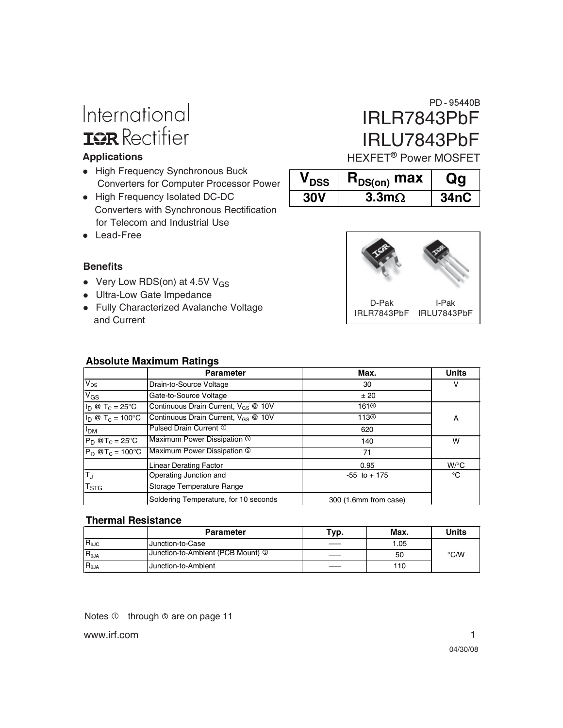# International **IGR** Rectifier

#### **Applications**

- High Frequency Synchronous Buck Converters for Computer Processor Power
- High Frequency Isolated DC-DC Converters with Synchronous Rectification for Telecom and Industrial Use
- Lead-Free

#### **Benefits**

- Very Low RDS(on) at 4.5V  $V_{GS}$
- Ultra-Low Gate Impedance
- Fully Characterized Avalanche Voltage and Current

## IRLR7843PbF IRLU7843PbF PD-95440B

HEXFET<sup>®</sup> Power MOSFET

| $\bm{{\mathsf{V}}}_{\mathsf{DSS}}$ | $R_{DS(on)}$ max     |             |
|------------------------------------|----------------------|-------------|
| <b>30V</b>                         | $3.3 \text{m}\Omega$ | <b>34nC</b> |



D-Pak IRLR7843PbF IRLU7843PbF I-Pak

### **Absolute Maximum Ratings**

|                                      | <b>Parameter</b>                                | Max.                  | <b>Units</b><br>ν  |  |
|--------------------------------------|-------------------------------------------------|-----------------------|--------------------|--|
| $V_{DS}$                             | Drain-to-Source Voltage                         | 30                    |                    |  |
| V <sub>GS</sub>                      | Gate-to-Source Voltage                          | ± 20                  |                    |  |
| $I_D @ T_C = 25^{\circ}C$            | Continuous Drain Current, V <sub>GS</sub> @ 10V | 161 <sup>①</sup>      |                    |  |
| $I_D @ T_C = 100°C$                  | Continuous Drain Current, V <sub>GS</sub> @ 10V | 113 <sup>4</sup>      | A                  |  |
| I <sub>DM</sub>                      | Pulsed Drain Current 1                          | 620                   |                    |  |
| $P_D @T_C = 25^\circ C$              | Maximum Power Dissipation <b>The System</b>     | 140                   | w                  |  |
| $\overline{P_D \otimes T_C}$ = 100°C | Maximum Power Dissipation 5                     | 71                    |                    |  |
|                                      | <b>Linear Derating Factor</b>                   | 0.95                  | $W$ / $^{\circ}$ C |  |
| $\mathsf{T}_{\mathsf{J}}$            | Operating Junction and                          | $-55$ to $+175$       | °C                 |  |
| $T_{\mathtt{STG}}$                   | Storage Temperature Range                       |                       |                    |  |
|                                      | Soldering Temperature, for 10 seconds           | 300 (1.6mm from case) |                    |  |

#### **Thermal Resistance**

|                            | <b>Parameter</b>                             | Typ. | Max. | Units         |
|----------------------------|----------------------------------------------|------|------|---------------|
| $\mathsf{IR}_{\text{0JC}}$ | Junction-to-Case                             |      | 1.05 |               |
| $IR_{\theta JA}$           | Junction-to-Ambient (PCB Mount) <sup>①</sup> |      | 50   | $\degree$ C/W |
| $IR_{\theta JA}$           | Junction-to-Ambient                          |      | 110  |               |

Notes  $\mathbb O$  through  $\mathbb O$  are on page 11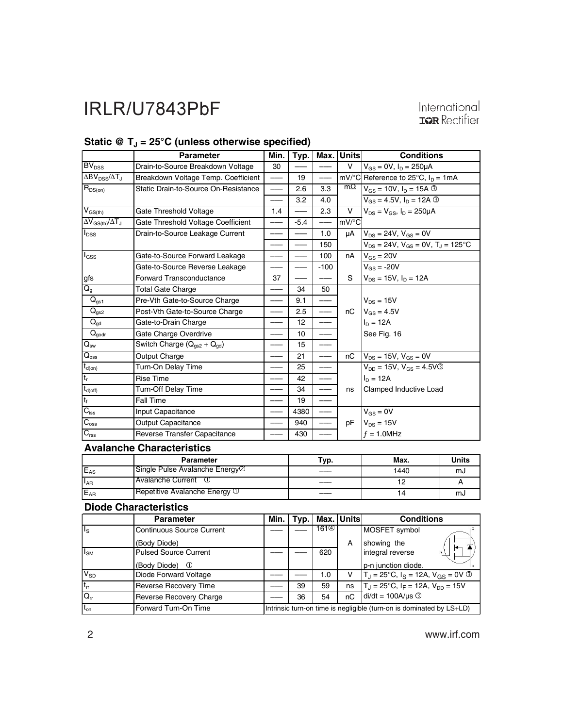## International **IGR** Rectifier

**Conditions**

|                                                 | <b>Parameter</b>                     |    |     | Min.   Typ.   Max.   Units | Conditio                               |
|-------------------------------------------------|--------------------------------------|----|-----|----------------------------|----------------------------------------|
| BV <sub>DSS</sub>                               | Drain-to-Source Breakdown Voltage    | 30 |     |                            | $V_{GS} = 0V$ , $I_D = 250 \mu A$      |
| $\Delta BV$ <sub>DSS</sub> / $\Delta T_{\rm d}$ | Breakdown Voltage Temp. Coefficient  |    | 19  |                            | mV/°C Reference to 25°C, In            |
| $R_{DS(on)}$                                    | Static Drain-to-Source On-Resistance |    | 2.6 | 3.3                        | $m\Omega$ $V_{GS} = 10V$ , $I_D = 15A$ |

### Static  $\mathcal{Q}$  T<sub>J</sub> = 25°C (unless otherwise specified)

| $\Delta BV_{\text{DSS}}/\Delta T_{\text{J}}$ | Breakdown Voltage Temp. Coefficient  |     | 19     |        |                     | mV/ $^{\circ}$ C Reference to 25 $^{\circ}$ C, $I_D = 1mA$ |
|----------------------------------------------|--------------------------------------|-----|--------|--------|---------------------|------------------------------------------------------------|
| $\mathsf{R}_{\mathsf{DS}(on)}$               | Static Drain-to-Source On-Resistance |     | 2.6    | 3.3    | $m\Omega$           | $V_{GS} = 10V$ , $I_D = 15A$ 3                             |
|                                              |                                      |     | 3.2    | 4.0    |                     | $V_{GS} = 4.5V$ , $I_D = 12A$ ©                            |
| $V_{GS(th)}$                                 | Gate Threshold Voltage               | 1.4 |        | 2.3    | V                   | $V_{DS} = V_{GS}$ , $I_D = 250 \mu A$                      |
| $\Delta V_{GS(th)}/\Delta T_J$               | Gate Threshold Voltage Coefficient   |     | $-5.4$ |        | $mV$ <sup>o</sup> C |                                                            |
| $I_{DSS}$                                    | Drain-to-Source Leakage Current      |     |        | 1.0    | μA                  | $V_{DS} = 24V, V_{GS} = 0V$                                |
|                                              |                                      |     |        | 150    |                     | $V_{DS} = 24V$ , $V_{GS} = 0V$ , $T_J = 125$ °C            |
| l <sub>GSS</sub>                             | Gate-to-Source Forward Leakage       |     |        | 100    | nA                  | $V_{GS} = 20V$                                             |
|                                              | Gate-to-Source Reverse Leakage       |     |        | $-100$ |                     | $V_{GS} = -20V$                                            |
| gfs                                          | <b>Forward Transconductance</b>      | 37  |        |        | S                   | $V_{DS}$ = 15V, $I_D$ = 12A                                |
| $\overline{Q_g}$                             | <b>Total Gate Charge</b>             |     | 34     | 50     |                     |                                                            |
| $\overline{Q}_{gs1}$                         | Pre-Vth Gate-to-Source Charge        |     | 9.1    |        |                     | $V_{DS} = 15V$                                             |
| $Q_{gs2}$                                    | Post-Vth Gate-to-Source Charge       |     | 2.5    |        | nC                  | $V_{GS} = 4.5V$                                            |
| $Q_{gd}$                                     | Gate-to-Drain Charge                 |     | 12     |        |                     | $I_D = 12A$                                                |
| $\mathbf{Q}_{\text{godr}}$                   | Gate Charge Overdrive                |     | 10     |        |                     | See Fig. 16                                                |
| $Q_{\rm sw}$                                 | Switch Charge $(Q_{qs2} + Q_{gd})$   |     | 15     |        |                     |                                                            |
| $Q_{\rm oss}$                                | Output Charge                        |     | 21     |        | nC                  | $V_{DS} = 15V$ , $V_{GS} = 0V$                             |
| $t_{d(on)}$                                  | Turn-On Delay Time                   |     | 25     |        |                     | $V_{DD} = 15V$ , $V_{GS} = 4.5V$ 3                         |
| $t_r$                                        | <b>Rise Time</b>                     |     | 42     |        |                     | $I_D = 12A$                                                |
| $t_{d(off)}$                                 | <b>Turn-Off Delay Time</b>           |     | 34     |        | ns                  | Clamped Inductive Load                                     |
| $t_f$                                        | Fall Time                            |     | 19     |        |                     |                                                            |
| $C_{\text{iss}}$                             | Input Capacitance                    |     | 4380   |        |                     | $V_{GS} = 0V$                                              |
| $C_{\rm oss}$                                | <b>Output Capacitance</b>            |     | 940    |        | рF                  | $V_{DS} = 15V$                                             |
| $C_{\text{rss}}$                             | Reverse Transfer Capacitance         |     | 430    |        |                     | $f = 1.0$ MHz                                              |

### **Avalanche Characteristics**

|          | Parameter                       | Typ. | Max. | Units |
|----------|---------------------------------|------|------|-------|
| $E_{AS}$ | Single Pulse Avalanche Energy 2 |      | 1440 | mJ    |
| $I_{AR}$ | IAvalanche Current              |      |      |       |
| $E_{AR}$ | Repetitive Avalanche Energy 10  |      | 4    | സം    |

#### **Diode Characteristics**

|                         | <b>Parameter</b>                 | Min.                                                                 | Typ. |     | Max. Units | <b>Conditions</b>                                   |
|-------------------------|----------------------------------|----------------------------------------------------------------------|------|-----|------------|-----------------------------------------------------|
| $\mathsf{I}_\mathsf{S}$ | <b>Continuous Source Current</b> |                                                                      |      |     |            | MOSFET symbol                                       |
|                         | (Body Diode)                     |                                                                      |      |     | A          | showing the                                         |
| $I_{SM}$                | <b>Pulsed Source Current</b>     |                                                                      |      | 620 |            | integral reverse<br>G.                              |
|                         | (Body Diode)<br>⊙                |                                                                      |      |     |            | p-n junction diode.                                 |
| $\overline{V_{SD}}$     | Diode Forward Voltage            |                                                                      |      | 1.0 | v          | $T_1 = 25^{\circ}C$ , $I_S = 12A$ , $V_{GS} = 0V$ 3 |
| $t_{rr}$                | <b>Reverse Recovery Time</b>     |                                                                      | 39   | 59  | ns         | $T_{\rm J}$ = 25°C, $I_F$ = 12A, $V_{\rm DD}$ = 15V |
| $Q_{rr}$                | <b>Reverse Recovery Charge</b>   |                                                                      | 36   | 54  | nC         | $di/dt = 100A/\mu s$                                |
| $t_{on}$                | Forward Turn-On Time             | Intrinsic turn-on time is negligible (turn-on is dominated by LS+LD) |      |     |            |                                                     |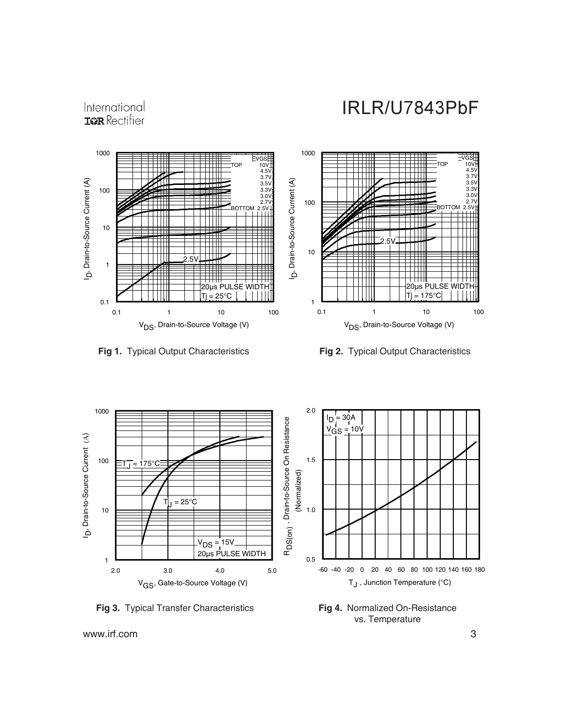## International **IGR** Rectifier









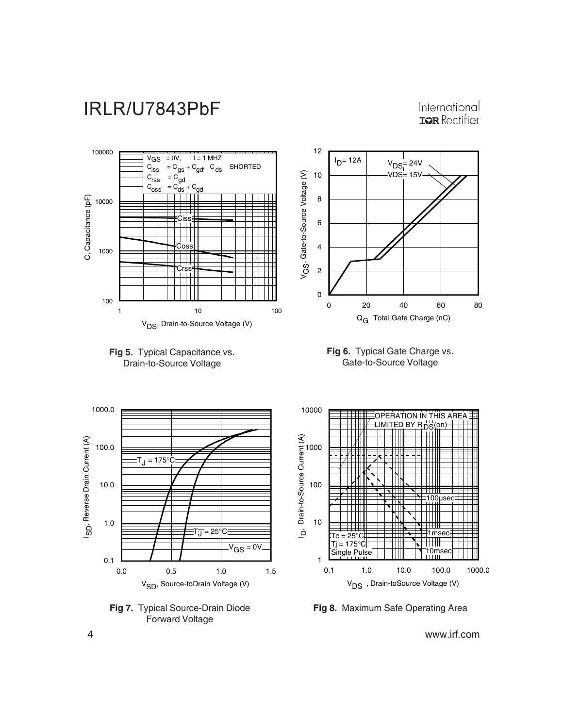

International **IGR** Rectifier













**Fig 8.** Maximum Safe Operating Area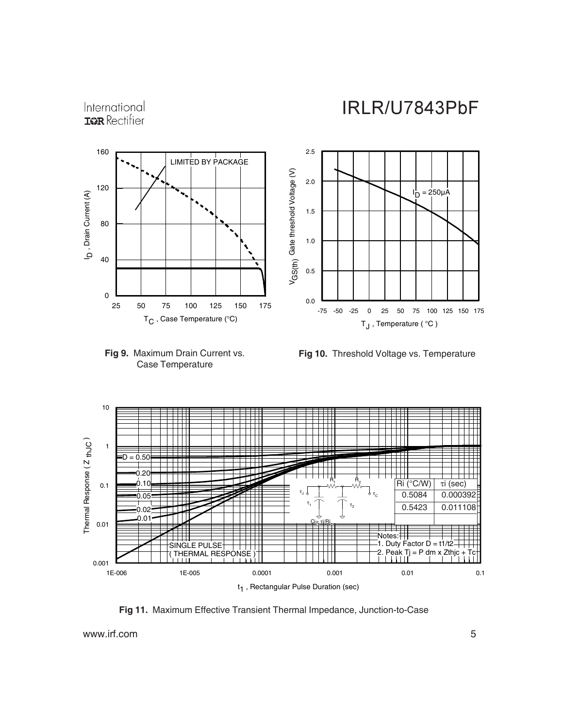



#### **Fig 9.** Maximum Drain Current vs. Case Temperature

**Fig 10.** Threshold Voltage vs. Temperature



**Fig 11.** Maximum Effective Transient Thermal Impedance, Junction-to-Case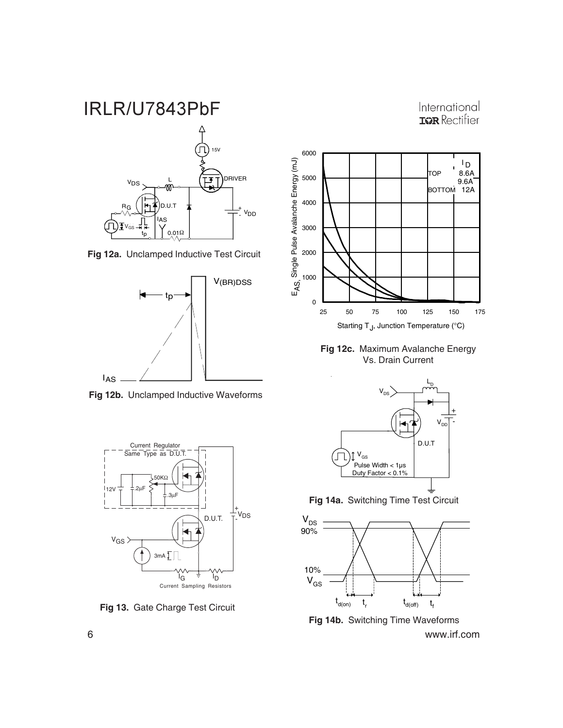International **IGR** Rectifier



**Fig 12a.** Unclamped Inductive Test Circuit



**Fig 12b.** Unclamped Inductive Waveforms



**Fig 13.** Gate Charge Test Circuit



**Fig 12c.** Maximum Avalanche Energy Vs. Drain Current



**Fig 14a.** Switching Time Test Circuit



6 www.irf.com **Fig 14b.** Switching Time Waveforms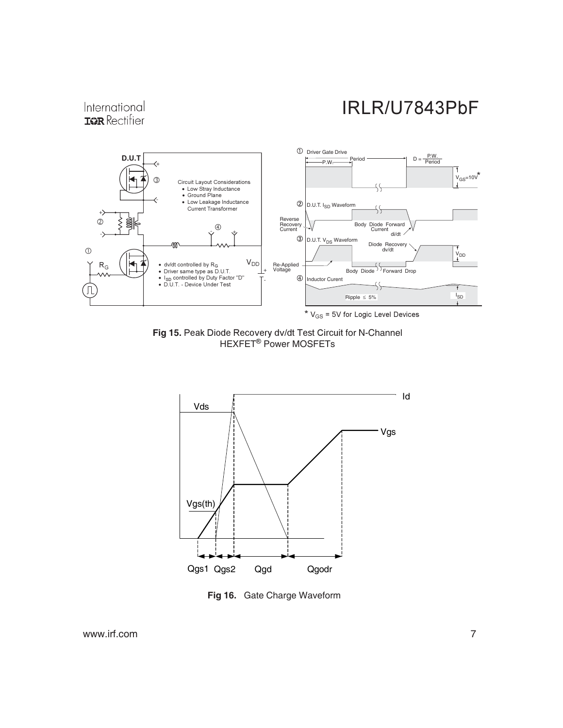### International **IGR** Rectifier



Fig 15. Peak Diode Recovery dv/dt Test Circuit for N-Channel HEXFET<sup>®</sup> Power MOSFETs



**Fig 16.** Gate Charge Waveform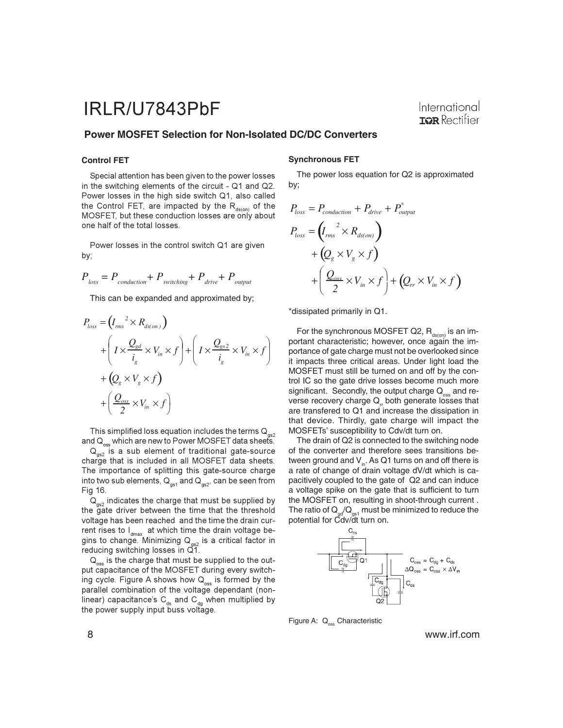#### **Power MOSFET Selection for Non-Isolated DC/DC Converters**

#### **Control FET**

Special attention has been given to the power losses in the switching elements of the circuit - Q1 and Q2. Power losses in the high side switch Q1, also called the Control FET, are impacted by the R<sub>ds(on)</sub> of the MOSFET, but these conduction losses are only about one half of the total losses.

Power losses in the control switch Q1 are given by;

$$
P_{\text{loss}} = P_{\text{conduction}} + P_{\text{switching}} + P_{\text{drive}} + P_{\text{output}}
$$

This can be expanded and approximated by;

$$
P_{loss} = (I_{rms}^{2} \times R_{ds(on)})
$$
  
+ 
$$
\left(I \times \frac{Q_{gd}}{i_g} \times V_{in} \times f\right) + \left(I \times \frac{Q_{gs2}}{i_g} \times V_{in} \times f\right)
$$
  
+ 
$$
\left(Q_g \times V_g \times f\right)
$$
  
+ 
$$
\left(\frac{Q_{oss}}{2} \times V_{in} \times f\right)
$$

This simplified loss equation includes the terms  $\mathsf{Q}_{_{\mathsf{gs2}}}$ and  $\mathsf{Q}_\mathrm{oss}$  which are new to Power MOSFET data sheets.

 $\mathsf{Q}_{_{\mathsf{gs2}}}$  is a sub element of traditional gate-source charge that is included in all MOSFET data sheets. The importance of splitting this gate-source charge into two sub elements,  $\text{Q}_\text{\tiny{gs1}}$  and  $\text{Q}_\text{\tiny{gs2'} }$  can be seen from Fig 16.

 $\mathsf{Q}_{_{\mathsf{gs2}}}$  indicates the charge that must be supplied by the gate driver between the time that the threshold voltage has been reached and the time the drain current rises to l $_{\sf dmax}^{}$  at which time the drain voltage begins to change. Minimizing  ${\sf Q}_{_{\sf gs2}}$  is a critical factor in reducing switching losses in Q1.

 $\mathsf{Q}_\mathrm{oss}$  is the charge that must be supplied to the output capacitance of the MOSFET during every switching cycle. Figure A shows how  $\mathsf{Q}_{_{\mathrm{oss}}}$  is formed by the parallel combination of the voltage dependant (nonlinear) capacitance's C<sub>ds</sub> and C<sub>dg</sub> when multiplied by the power supply input buss voltage.

#### **Synchronous FET**

The power loss equation for Q2 is approximated by;

$$
P_{loss} = P_{conduction} + P_{drive} + P_{output}^*
$$
  
\n
$$
P_{loss} = (I_{rms}^2 \times R_{ds,on})
$$
  
\n
$$
+ (Q_{g} \times V_{g} \times f)
$$
  
\n
$$
+ (\frac{Q_{osc}}{2} \times V_{in} \times f) + (Q_{rr} \times V_{in} \times f)
$$

\*dissipated primarily in Q1.

For the synchronous MOSFET Q2,  $R_{ds(on)}$  is an important characteristic; however, once again the importance of gate charge must not be overlooked since it impacts three critical areas. Under light load the MOSFET must still be turned on and off by the control IC so the gate drive losses become much more significant. Secondly, the output charge  $Q_{\text{max}}$  and reverse recovery charge  $Q<sub>r</sub>$  both generate losses that are transfered to Q1 and increase the dissipation in that device. Thirdly, gate charge will impact the MOSFETs' susceptibility to Cdv/dt turn on.

The drain of Q2 is connected to the switching node of the converter and therefore sees transitions between ground and  $V_{in}$ . As Q1 turns on and off there is a rate of change of drain voltage dV/dt which is capacitively coupled to the gate of Q2 and can induce a voltage spike on the gate that is sufficient to turn the MOSFET on, resulting in shoot-through current . The ratio of  $\mathsf{Q}_{\mathsf{g d}}/\mathsf{Q}_{\mathsf{gs1}}$  must be minimized to reduce the potential for Cdv/dt turn on.

![](_page_7_Figure_19.jpeg)

Figure A: Q<sub>oss</sub> Characteristic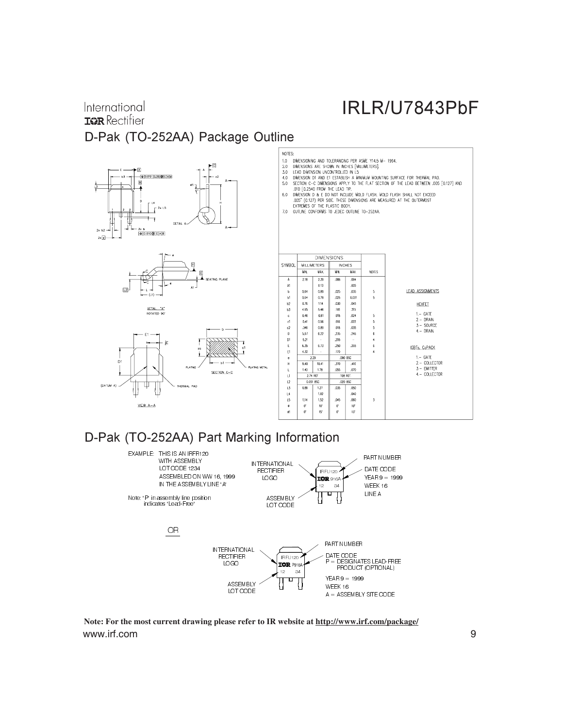## International **IGR** Rectifier D-Pak (TO-252AA) Package Outline

![](_page_8_Figure_2.jpeg)

### D-Pak (TO-252AA) Part Marking Information

![](_page_8_Figure_4.jpeg)

www.irf.com 9 **Note: For the most current drawing please refer to IR website at http://www.irf.com/package/**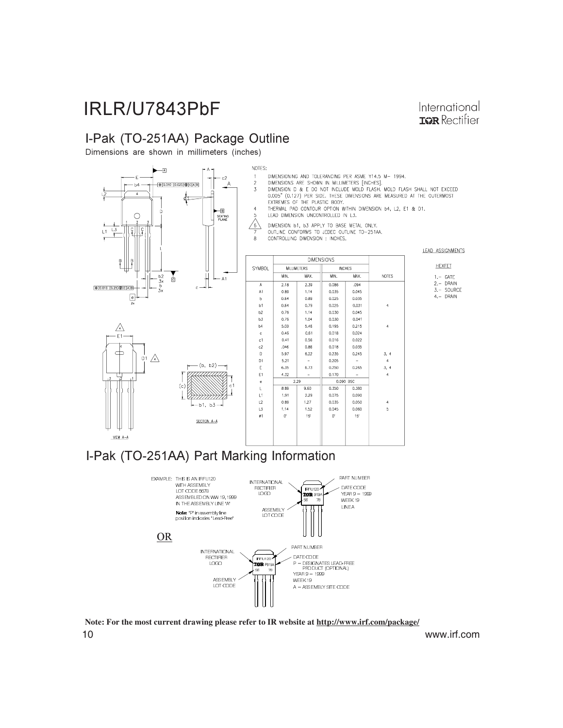## I-Pak (TO-251AA) Package Outline

Dimensions are shown in millimeters (inches)

![](_page_9_Figure_3.jpeg)

International **TOR** Rectifier

## I-Pak (TO-251AA) Part Marking Information

![](_page_9_Figure_5.jpeg)

10 www.irf.com **Note: For the most current drawing please refer to IR website at http://www.irf.com/package/**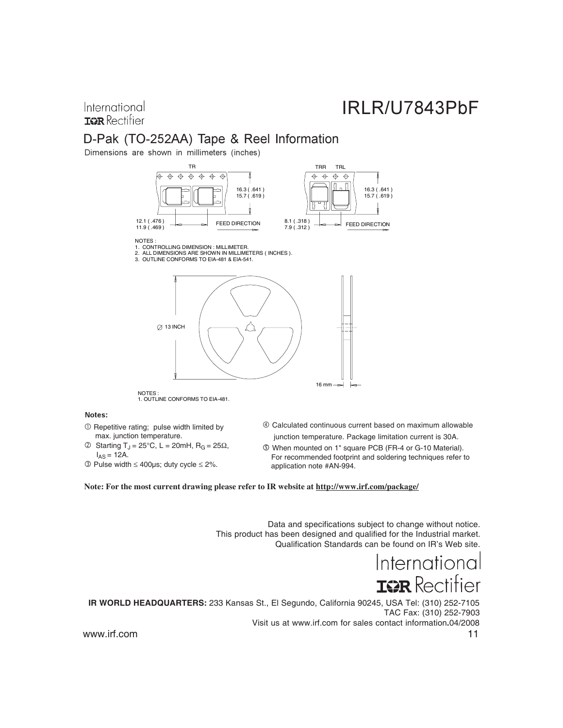### International **IGR** Rectifier

## D-Pak (TO-252AA) Tape & Reel Information

Dimensions are shown in millimeters (inches)

![](_page_10_Figure_4.jpeg)

NOTES :

1. CONTROLLING DIMENSION : MILLIMETER. 2. ALL DIMENSIONS ARE SHOWN IN MILLIMETERS ( INCHES ).

3. OUTLINE CONFORMS TO EIA-481 & EIA-541.

![](_page_10_Figure_8.jpeg)

NOTES : 1. OUTLINE CONFORMS TO EIA-481.

#### Notes:

- $\odot$  Repetitive rating; pulse width limited by max. junction temperature.
- © Starting T<sub>J</sub> = 25°C, L = 20mH, R<sub>G</sub> = 25Ω,  $I_{AS} = 12A$ .
- $\overline{\textcircled{\}P}$  Pulse width  $\leq 400$ µs; duty cycle  $\leq 2\%$ .
- Calculated continuous current based on maximum allowable junction temperature. Package limitation current is 30A.
- When mounted on 1" square PCB (FR-4 or G-10 Material). For recommended footprint and soldering techniques refer to application note #AN-994.

**Note: For the most current drawing please refer to IR website at http://www.irf.com/package/**

Data and specifications subject to change without notice. This product has been designed and qualified for the Industrial market. Qualification Standards can be found on IR's Web site.

> International **ISR** Rectifier

www.irf.com 11 **IR WORLD HEADQUARTERS:** 233 Kansas St., El Segundo, California 90245, USA Tel: (310) 252-7105 TAC Fax: (310) 252-7903 Visit us at www.irf.com for sales contact information**.**04/2008